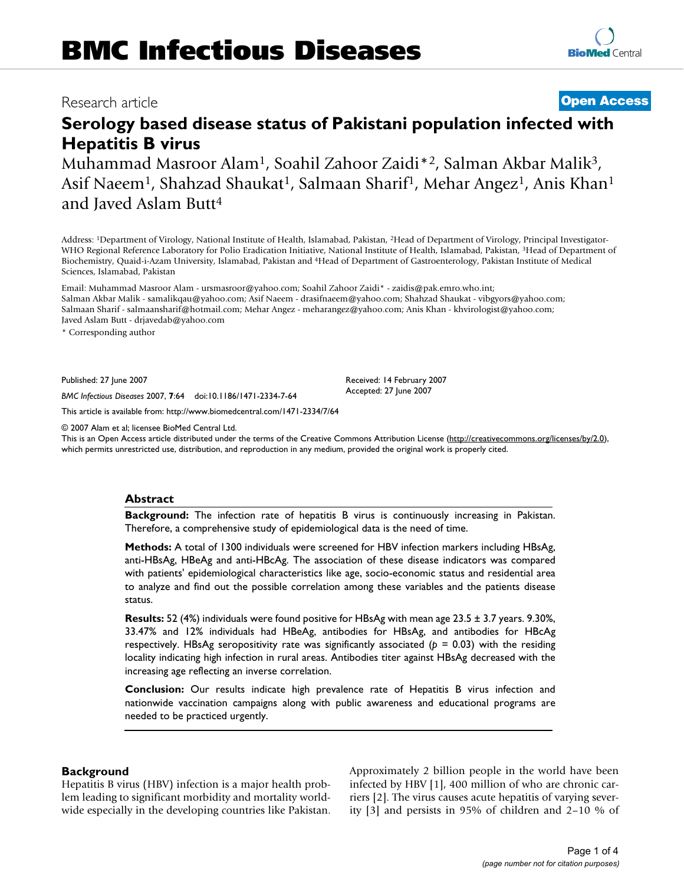# Research article **[Open Access](http://www.biomedcentral.com/info/about/charter/)**

# **Serology based disease status of Pakistani population infected with Hepatitis B virus**

Muhammad Masroor Alam1, Soahil Zahoor Zaidi\*2, Salman Akbar Malik3, Asif Naeem<sup>1</sup>, Shahzad Shaukat<sup>1</sup>, Salmaan Sharif<sup>1</sup>, Mehar Angez<sup>1</sup>, Anis Khan<sup>1</sup> and Javed Aslam Butt4

Address: 1Department of Virology, National Institute of Health, Islamabad, Pakistan, 2Head of Department of Virology, Principal Investigator-WHO Regional Reference Laboratory for Polio Eradication Initiative, National Institute of Health, Islamabad, Pakistan, 3Head of Department of Biochemistry, Quaid-i-Azam University, Islamabad, Pakistan and 4Head of Department of Gastroenterology, Pakistan Institute of Medical Sciences, Islamabad, Pakistan

Email: Muhammad Masroor Alam - ursmasroor@yahoo.com; Soahil Zahoor Zaidi\* - zaidis@pak.emro.who.int; Salman Akbar Malik - samalikqau@yahoo.com; Asif Naeem - drasifnaeem@yahoo.com; Shahzad Shaukat - vibgyors@yahoo.com; Salmaan Sharif - salmaansharif@hotmail.com; Mehar Angez - meharangez@yahoo.com; Anis Khan - khvirologist@yahoo.com; Javed Aslam Butt - drjavedab@yahoo.com

\* Corresponding author

Published: 27 June 2007

*BMC Infectious Diseases* 2007, **7**:64 doi:10.1186/1471-2334-7-64

[This article is available from: http://www.biomedcentral.com/1471-2334/7/64](http://www.biomedcentral.com/1471-2334/7/64)

© 2007 Alam et al; licensee BioMed Central Ltd.

This is an Open Access article distributed under the terms of the Creative Commons Attribution License [\(http://creativecommons.org/licenses/by/2.0\)](http://creativecommons.org/licenses/by/2.0), which permits unrestricted use, distribution, and reproduction in any medium, provided the original work is properly cited.

### **Abstract**

**Background:** The infection rate of hepatitis B virus is continuously increasing in Pakistan. Therefore, a comprehensive study of epidemiological data is the need of time.

**Methods:** A total of 1300 individuals were screened for HBV infection markers including HBsAg, anti-HBsAg, HBeAg and anti-HBcAg. The association of these disease indicators was compared with patients' epidemiological characteristics like age, socio-economic status and residential area to analyze and find out the possible correlation among these variables and the patients disease status.

**Results:** 52 (4%) individuals were found positive for HBsAg with mean age 23.5 ± 3.7 years. 9.30%, 33.47% and 12% individuals had HBeAg, antibodies for HBsAg, and antibodies for HBcAg respectively. HBsAg seropositivity rate was significantly associated ( $p = 0.03$ ) with the residing locality indicating high infection in rural areas. Antibodies titer against HBsAg decreased with the increasing age reflecting an inverse correlation.

**Conclusion:** Our results indicate high prevalence rate of Hepatitis B virus infection and nationwide vaccination campaigns along with public awareness and educational programs are needed to be practiced urgently.

### **Background**

Hepatitis B virus (HBV) infection is a major health problem leading to significant morbidity and mortality worldwide especially in the developing countries like Pakistan. Approximately 2 billion people in the world have been infected by HBV [1], 400 million of who are chronic carriers [2]. The virus causes acute hepatitis of varying severity [3] and persists in 95% of children and 2–10 % of

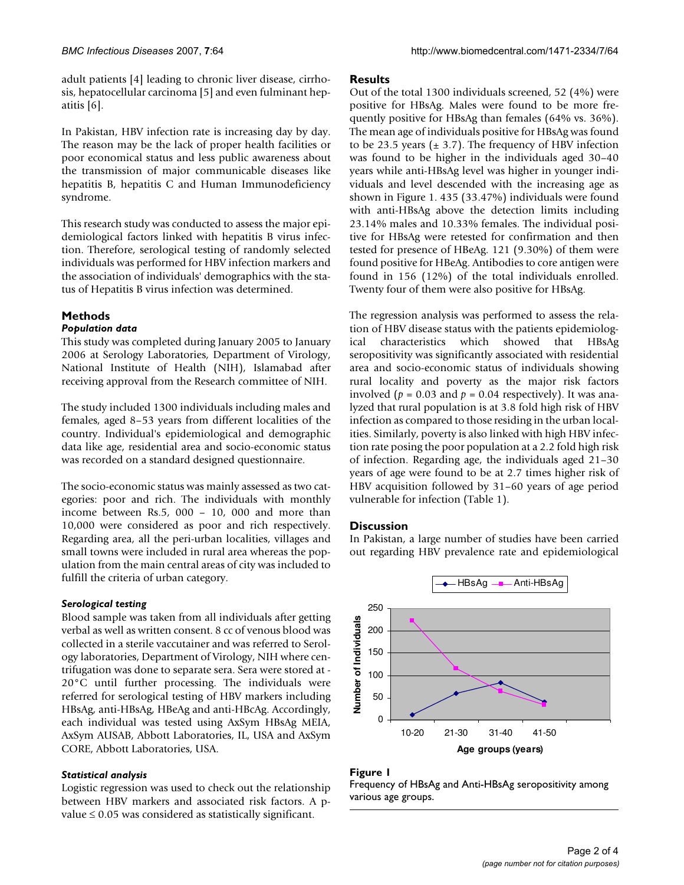adult patients [4] leading to chronic liver disease, cirrhosis, hepatocellular carcinoma [5] and even fulminant hepatitis [6].

In Pakistan, HBV infection rate is increasing day by day. The reason may be the lack of proper health facilities or poor economical status and less public awareness about the transmission of major communicable diseases like hepatitis B, hepatitis C and Human Immunodeficiency syndrome.

This research study was conducted to assess the major epidemiological factors linked with hepatitis B virus infection. Therefore, serological testing of randomly selected individuals was performed for HBV infection markers and the association of individuals' demographics with the status of Hepatitis B virus infection was determined.

## **Methods**

#### *Population data*

This study was completed during January 2005 to January 2006 at Serology Laboratories, Department of Virology, National Institute of Health (NIH), Islamabad after receiving approval from the Research committee of NIH.

The study included 1300 individuals including males and females, aged 8–53 years from different localities of the country. Individual's epidemiological and demographic data like age, residential area and socio-economic status was recorded on a standard designed questionnaire.

The socio-economic status was mainly assessed as two categories: poor and rich. The individuals with monthly income between Rs.5, 000 – 10, 000 and more than 10,000 were considered as poor and rich respectively. Regarding area, all the peri-urban localities, villages and small towns were included in rural area whereas the population from the main central areas of city was included to fulfill the criteria of urban category.

#### *Serological testing*

Blood sample was taken from all individuals after getting verbal as well as written consent. 8 cc of venous blood was collected in a sterile vaccutainer and was referred to Serology laboratories, Department of Virology, NIH where centrifugation was done to separate sera. Sera were stored at - 20°C until further processing. The individuals were referred for serological testing of HBV markers including HBsAg, anti-HBsAg, HBeAg and anti-HBcAg. Accordingly, each individual was tested using AxSym HBsAg MEIA, AxSym AUSAB, Abbott Laboratories, IL, USA and AxSym CORE, Abbott Laboratories, USA.

#### *Statistical analysis*

Logistic regression was used to check out the relationship between HBV markers and associated risk factors. A pvalue ≤ 0.05 was considered as statistically significant.

#### **Results**

Out of the total 1300 individuals screened, 52 (4%) were positive for HBsAg. Males were found to be more frequently positive for HBsAg than females (64% vs. 36%). The mean age of individuals positive for HBsAg was found to be 23.5 years  $(\pm 3.7)$ . The frequency of HBV infection was found to be higher in the individuals aged 30–40 years while anti-HBsAg level was higher in younger individuals and level descended with the increasing age as shown in Figure 1. 435 (33.47%) individuals were found with anti-HBsAg above the detection limits including 23.14% males and 10.33% females. The individual positive for HBsAg were retested for confirmation and then tested for presence of HBeAg. 121 (9.30%) of them were found positive for HBeAg. Antibodies to core antigen were found in 156 (12%) of the total individuals enrolled. Twenty four of them were also positive for HBsAg.

The regression analysis was performed to assess the relation of HBV disease status with the patients epidemiological characteristics which showed that HBsAg seropositivity was significantly associated with residential area and socio-economic status of individuals showing rural locality and poverty as the major risk factors involved ( $p = 0.03$  and  $p = 0.04$  respectively). It was analyzed that rural population is at 3.8 fold high risk of HBV infection as compared to those residing in the urban localities. Similarly, poverty is also linked with high HBV infection rate posing the poor population at a 2.2 fold high risk of infection. Regarding age, the individuals aged 21–30 years of age were found to be at 2.7 times higher risk of HBV acquisition followed by 31–60 years of age period vulnerable for infection (Table 1).

### **Discussion**

In Pakistan, a large number of studies have been carried out regarding HBV prevalence rate and epidemiological



### Figure 1

Frequency of HBsAg and Anti-HBsAg seropositivity among various age groups.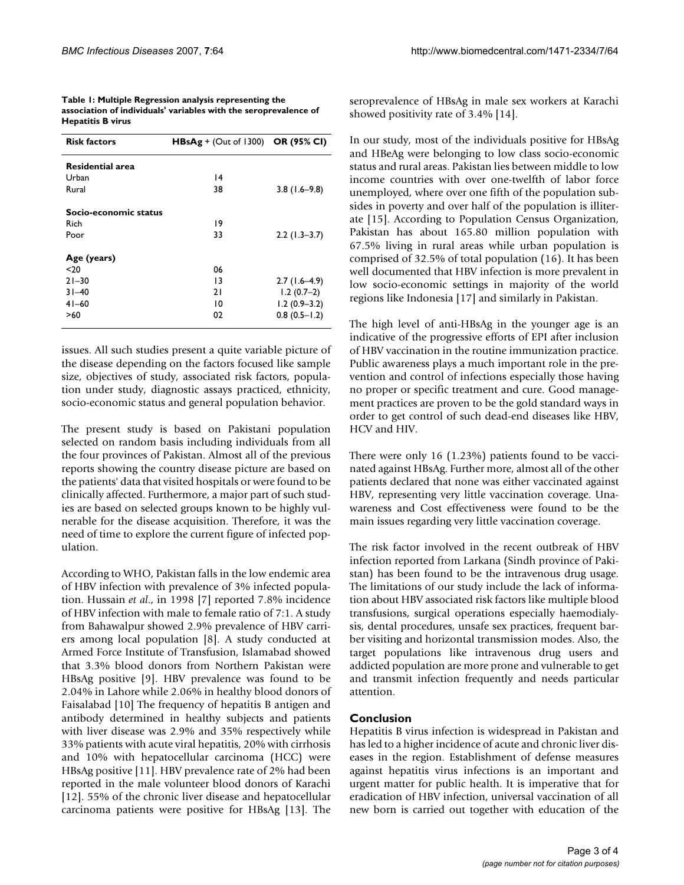| Table 1: Multiple Regression analysis representing the           |
|------------------------------------------------------------------|
| association of individuals' variables with the seroprevalence of |
| <b>Hepatitis B virus</b>                                         |

| <b>Risk factors</b>     | $HBsAg + (Out of 1300)$ OR (95% CI) |                  |
|-------------------------|-------------------------------------|------------------|
| <b>Residential area</b> |                                     |                  |
| Urban                   | $\overline{14}$                     |                  |
| Rural                   | 38                                  | $3.8(1.6-9.8)$   |
| Socio-economic status   |                                     |                  |
| Rich                    | 19                                  |                  |
| Poor                    | 33                                  | $2.2$ (1.3–3.7)  |
| Age (years)             |                                     |                  |
| $20$                    | 06                                  |                  |
| $21 - 30$               | 13                                  | $2.7(1.6-4.9)$   |
| $31 - 40$               | 21                                  | $1.2(0.7-2)$     |
| $41 - 60$               | 10                                  | $1.2(0.9-3.2)$   |
| >60                     | 02                                  | $0.8(0.5 - 1.2)$ |

issues. All such studies present a quite variable picture of the disease depending on the factors focused like sample size, objectives of study, associated risk factors, population under study, diagnostic assays practiced, ethnicity, socio-economic status and general population behavior.

The present study is based on Pakistani population selected on random basis including individuals from all the four provinces of Pakistan. Almost all of the previous reports showing the country disease picture are based on the patients' data that visited hospitals or were found to be clinically affected. Furthermore, a major part of such studies are based on selected groups known to be highly vulnerable for the disease acquisition. Therefore, it was the need of time to explore the current figure of infected population.

According to WHO, Pakistan falls in the low endemic area of HBV infection with prevalence of 3% infected population. Hussain *et al*., in 1998 [7] reported 7.8% incidence of HBV infection with male to female ratio of 7:1. A study from Bahawalpur showed 2.9% prevalence of HBV carriers among local population [8]. A study conducted at Armed Force Institute of Transfusion, Islamabad showed that 3.3% blood donors from Northern Pakistan were HBsAg positive [9]. HBV prevalence was found to be 2.04% in Lahore while 2.06% in healthy blood donors of Faisalabad [10] The frequency of hepatitis B antigen and antibody determined in healthy subjects and patients with liver disease was 2.9% and 35% respectively while 33% patients with acute viral hepatitis, 20% with cirrhosis and 10% with hepatocellular carcinoma (HCC) were HBsAg positive [11]. HBV prevalence rate of 2% had been reported in the male volunteer blood donors of Karachi [12]. 55% of the chronic liver disease and hepatocellular carcinoma patients were positive for HBsAg [13]. The seroprevalence of HBsAg in male sex workers at Karachi showed positivity rate of 3.4% [14].

In our study, most of the individuals positive for HBsAg and HBeAg were belonging to low class socio-economic status and rural areas. Pakistan lies between middle to low income countries with over one-twelfth of labor force unemployed, where over one fifth of the population subsides in poverty and over half of the population is illiterate [15]. According to Population Census Organization, Pakistan has about 165.80 million population with 67.5% living in rural areas while urban population is comprised of 32.5% of total population (16). It has been well documented that HBV infection is more prevalent in low socio-economic settings in majority of the world regions like Indonesia [17] and similarly in Pakistan.

The high level of anti-HBsAg in the younger age is an indicative of the progressive efforts of EPI after inclusion of HBV vaccination in the routine immunization practice. Public awareness plays a much important role in the prevention and control of infections especially those having no proper or specific treatment and cure. Good management practices are proven to be the gold standard ways in order to get control of such dead-end diseases like HBV, HCV and HIV.

There were only 16 (1.23%) patients found to be vaccinated against HBsAg. Further more, almost all of the other patients declared that none was either vaccinated against HBV, representing very little vaccination coverage. Unawareness and Cost effectiveness were found to be the main issues regarding very little vaccination coverage.

The risk factor involved in the recent outbreak of HBV infection reported from Larkana (Sindh province of Pakistan) has been found to be the intravenous drug usage. The limitations of our study include the lack of information about HBV associated risk factors like multiple blood transfusions, surgical operations especially haemodialysis, dental procedures, unsafe sex practices, frequent barber visiting and horizontal transmission modes. Also, the target populations like intravenous drug users and addicted population are more prone and vulnerable to get and transmit infection frequently and needs particular attention.

### **Conclusion**

Hepatitis B virus infection is widespread in Pakistan and has led to a higher incidence of acute and chronic liver diseases in the region. Establishment of defense measures against hepatitis virus infections is an important and urgent matter for public health. It is imperative that for eradication of HBV infection, universal vaccination of all new born is carried out together with education of the